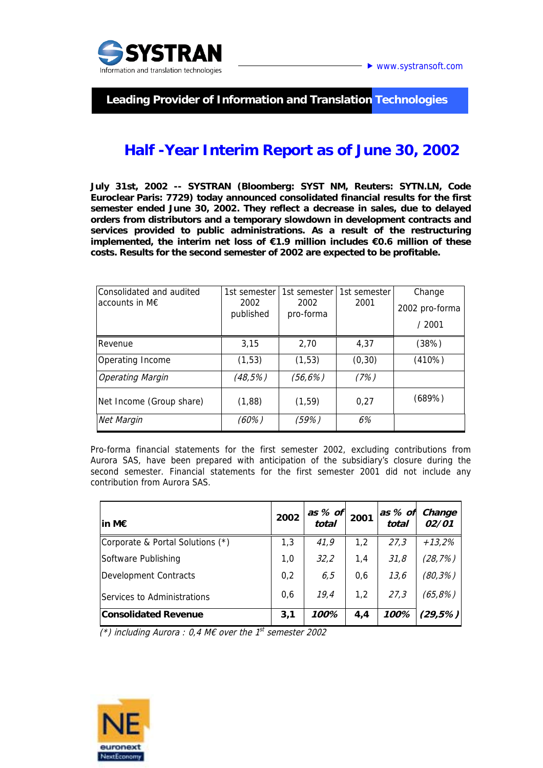

 **Leading Provider of Information and Translation Technologies** 

## **Half -Year Interim Report as of June 30, 2002**

**July 31st, 2002 -- SYSTRAN (Bloomberg: SYST NM, Reuters: SYTN.LN, Code Euroclear Paris: 7729) today announced consolidated financial results for the first semester ended June 30, 2002. They reflect a decrease in sales, due to delayed orders from distributors and a temporary slowdown in development contracts and services provided to public administrations. As a result of the restructuring implemented, the interim net loss of €1.9 million includes €0.6 million of these costs. Results for the second semester of 2002 are expected to be profitable.** 

| Consolidated and audited<br>accounts in $M \in$ | 1st semester<br>2002<br>published | 1st semester<br>2002<br>pro-forma | 1st semester<br>2001 | Change<br>2002 pro-forma |
|-------------------------------------------------|-----------------------------------|-----------------------------------|----------------------|--------------------------|
|                                                 |                                   |                                   |                      | /2001                    |
| <b>IRevenue</b>                                 | 3,15                              | 2,70                              | 4,37                 | (38%)                    |
| Operating Income                                | (1, 53)                           | (1, 53)                           | (0, 30)              | (410%)                   |
| <b>Operating Margin</b>                         | (48,5%)                           | (56, 6%)                          | (7%)                 |                          |
| Net Income (Group share)                        | (1,88)                            | (1, 59)                           | 0,27                 | (689%)                   |
| Net Margin                                      | (60%)                             | (59%)                             | 6%                   |                          |

Pro-forma financial statements for the first semester 2002, excluding contributions from Aurora SAS, have been prepared with anticipation of the subsidiary's closure during the second semester. Financial statements for the first semester 2001 did not include any contribution from Aurora SAS.

| in M $\epsilon$                  | 2002 | as $%$ of<br>total | 2001 | as % of<br>total | Change<br>02/01 |
|----------------------------------|------|--------------------|------|------------------|-----------------|
| Corporate & Portal Solutions (*) | 1,3  | 41,9               | 1,2  | 27,3             | +13,2%          |
| Software Publishing              | 1,0  | 32,2               | 1,4  | 31,8             | (28, 7%)        |
| Development Contracts            | 0,2  | 6,5                | 0,6  | 13,6             | $(80, 3\%)$     |
| Services to Administrations      | 0,6  | 19,4               | 1.2  | 27,3             | (65,8%)         |
| <b>Consolidated Revenue</b>      | 3,1  | 100%               | 4.4  | 100%             | (29,5%)         |

(\*) including Aurora : 0,4 M€ over the  $1^{st}$  semester 2002

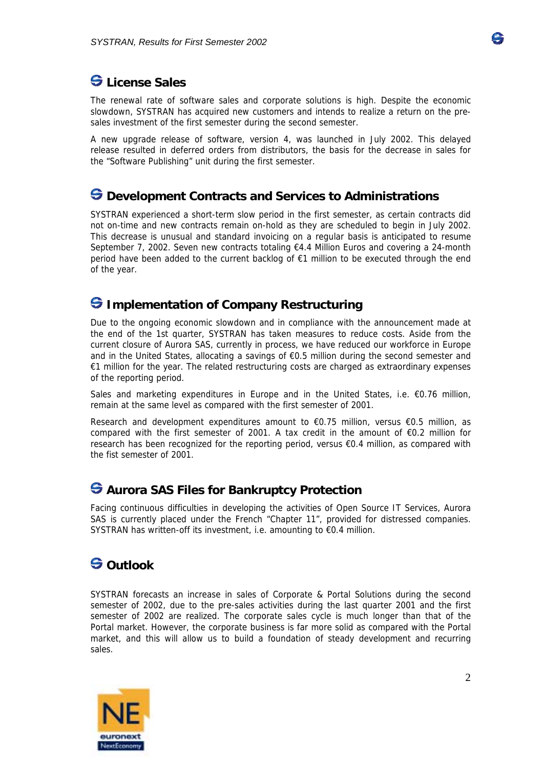

# $\Theta$  License Sales

The renewal rate of software sales and corporate solutions is high. Despite the economic slowdown, SYSTRAN has acquired new customers and intends to realize a return on the presales investment of the first semester during the second semester.

A new upgrade release of software, version 4, was launched in July 2002. This delayed release resulted in deferred orders from distributors, the basis for the decrease in sales for the "Software Publishing" unit during the first semester.

### $\bigcirc$  Development Contracts and Services to Administrations

SYSTRAN experienced a short-term slow period in the first semester, as certain contracts did not on-time and new contracts remain on-hold as they are scheduled to begin in July 2002. This decrease is unusual and standard invoicing on a regular basis is anticipated to resume September 7, 2002. Seven new contracts totaling €4.4 Million Euros and covering a 24-month period have been added to the current backlog of €1 million to be executed through the end of the year.

### **<del>G</del>** Implementation of Company Restructuring

Due to the ongoing economic slowdown and in compliance with the announcement made at the end of the 1st quarter, SYSTRAN has taken measures to reduce costs. Aside from the current closure of Aurora SAS, currently in process, we have reduced our workforce in Europe and in the United States, allocating a savings of €0.5 million during the second semester and €1 million for the year. The related restructuring costs are charged as extraordinary expenses of the reporting period.

Sales and marketing expenditures in Europe and in the United States, i.e. €0.76 million, remain at the same level as compared with the first semester of 2001.

Research and development expenditures amount to  $\epsilon$ 0.75 million, versus  $\epsilon$ 0.5 million, as compared with the first semester of 2001. A tax credit in the amount of  $\epsilon$ 0.2 million for research has been recognized for the reporting period, versus €0.4 million, as compared with the fist semester of 2001.

### $\bigodot$  **Aurora SAS Files for Bankruptcy Protection**

Facing continuous difficulties in developing the activities of Open Source IT Services, Aurora SAS is currently placed under the French "Chapter 11", provided for distressed companies. SYSTRAN has written-off its investment, i.e. amounting to €0.4 million.

# **S** Outlook

SYSTRAN forecasts an increase in sales of Corporate & Portal Solutions during the second semester of 2002, due to the pre-sales activities during the last quarter 2001 and the first semester of 2002 are realized. The corporate sales cycle is much longer than that of the Portal market. However, the corporate business is far more solid as compared with the Portal market, and this will allow us to build a foundation of steady development and recurring sales.

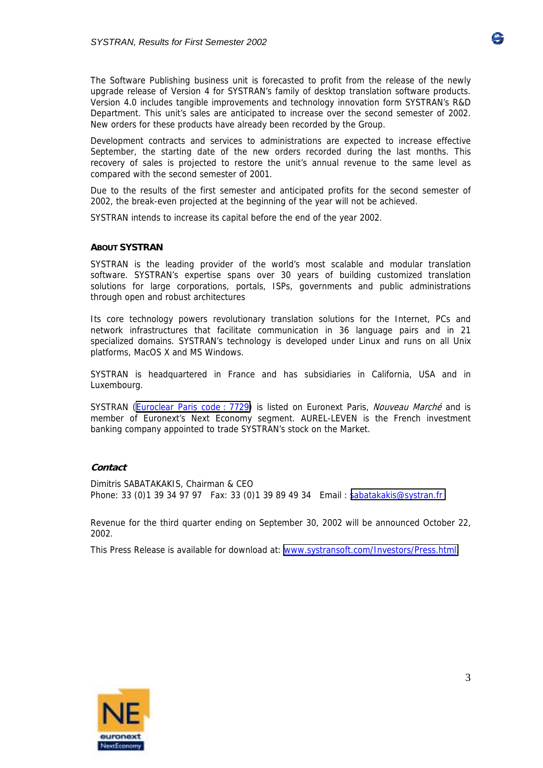

The Software Publishing business unit is forecasted to profit from the release of the newly upgrade release of Version 4 for SYSTRAN's family of desktop translation software products. Version 4.0 includes tangible improvements and technology innovation form SYSTRAN's R&D Department. This unit's sales are anticipated to increase over the second semester of 2002. New orders for these products have already been recorded by the Group.

Development contracts and services to administrations are expected to increase effective September, the starting date of the new orders recorded during the last months. This recovery of sales is projected to restore the unit's annual revenue to the same level as compared with the second semester of 2001.

Due to the results of the first semester and anticipated profits for the second semester of 2002, the break-even projected at the beginning of the year will not be achieved.

SYSTRAN intends to increase its capital before the end of the year 2002.

#### **ABOUT SYSTRAN**

SYSTRAN is the leading provider of the world's most scalable and modular translation software. SYSTRAN's expertise spans over 30 years of building customized translation solutions for large corporations, portals, ISPs, governments and public administrations through open and robust architectures

Its core technology powers revolutionary translation solutions for the Internet, PCs and network infrastructures that facilitate communication in 36 language pairs and in 21 specialized domains. SYSTRAN's technology is developed under Linux and runs on all Unix platforms, MacOS X and MS Windows.

SYSTRAN is headquartered in France and has subsidiaries in California, USA and in Luxembourg.

SYSTRAN [\(Euroclear Paris code : 7729\)](http://www.bourse-de-paris.fr/servlet/market8.fiche_fs?sicovam=007729&lang=en) is listed on Euronext Paris, Nouveau Marché and is member of Euronext's Next Economy segment. AUREL-LEVEN is the French investment banking company appointed to trade SYSTRAN's stock on the Market.

#### **Contact**

Dimitris SABATAKAKIS, Chairman & CEO Phone: 33 (0)1 39 34 97 97 Fax: 33 (0)1 39 89 49 34 Email : [sabatakakis@systran.fr](mailto:sabatakakis@systran.fr)

Revenue for the third quarter ending on September 30, 2002 will be announced October 22, 2002.

This Press Release is available for download at: [www.systransoft.com/Investors/Press.html.](http://www.systransoft.com/Investors/Press.html)